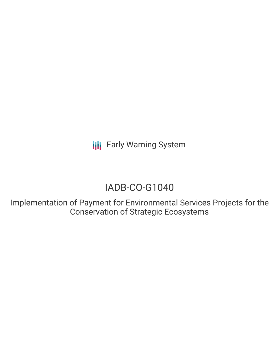**III** Early Warning System

# IADB-CO-G1040

Implementation of Payment for Environmental Services Projects for the Conservation of Strategic Ecosystems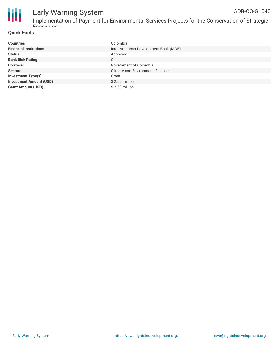

### **Quick Facts**

Ecosystems

| <b>Countries</b>               | Colombia                               |
|--------------------------------|----------------------------------------|
| <b>Financial Institutions</b>  | Inter-American Development Bank (IADB) |
| <b>Status</b>                  | Approved                               |
| <b>Bank Risk Rating</b>        | C                                      |
| <b>Borrower</b>                | Government of Colombia                 |
| <b>Sectors</b>                 | Climate and Environment, Finance       |
| <b>Investment Type(s)</b>      | Grant                                  |
| <b>Investment Amount (USD)</b> | $$2.50$ million                        |
| <b>Grant Amount (USD)</b>      | $$2.50$ million                        |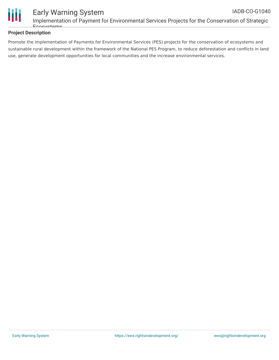

### **Project Description**

Ecosystems

Promote the implementation of Payments for Environmental Services (PES) projects for the conservation of ecosystems and sustainable rural development within the framework of the National PES Program, to reduce deforestation and conflicts in land use, generate development opportunities for local communities and the increase environmental services.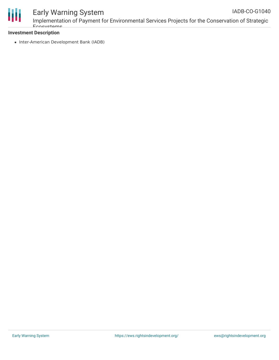

## Early Warning System

Implementation of Payment for Environmental Services Projects for the Conservation of Strategic Ecosystems

### **Investment Description**

• Inter-American Development Bank (IADB)